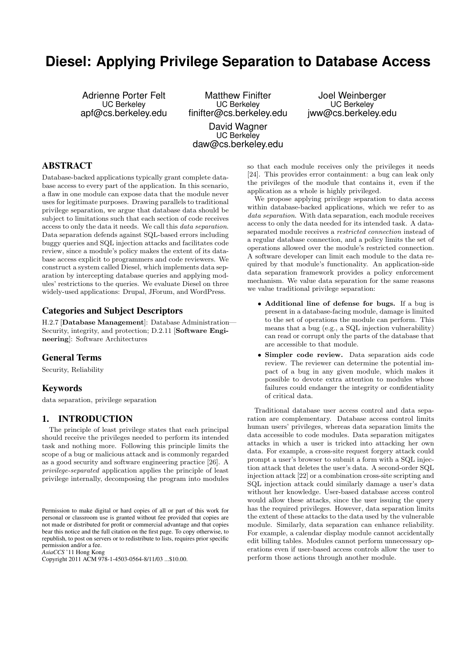# **Diesel: Applying Privilege Separation to Database Access**

Adrienne Porter Felt UC Berkeley apf@cs.berkeley.edu

Matthew Finifter UC Berkeley finifter@cs.berkeley.edu David Wagner UC Berkeley daw@cs.berkeley.edu

Joel Weinberger UC Berkeley jww@cs.berkeley.edu

# ABSTRACT

Database-backed applications typically grant complete database access to every part of the application. In this scenario, a flaw in one module can expose data that the module never uses for legitimate purposes. Drawing parallels to traditional privilege separation, we argue that database data should be subject to limitations such that each section of code receives access to only the data it needs. We call this data separation. Data separation defends against SQL-based errors including buggy queries and SQL injection attacks and facilitates code review, since a module's policy makes the extent of its database access explicit to programmers and code reviewers. We construct a system called Diesel, which implements data separation by intercepting database queries and applying modules' restrictions to the queries. We evaluate Diesel on three widely-used applications: Drupal, JForum, and WordPress.

# Categories and Subject Descriptors

H.2.7 [Database Management]: Database Administration— Security, integrity, and protection; D.2.11 [Software Engineering]: Software Architectures

# General Terms

Security, Reliability

# Keywords

data separation, privilege separation

# 1. INTRODUCTION

The principle of least privilege states that each principal should receive the privileges needed to perform its intended task and nothing more. Following this principle limits the scope of a bug or malicious attack and is commonly regarded as a good security and software engineering practice [26]. A privilege-separated application applies the principle of least privilege internally, decomposing the program into modules

*AsiaCCS* '11 Hong Kong

so that each module receives only the privileges it needs [24]. This provides error containment: a bug can leak only the privileges of the module that contains it, even if the application as a whole is highly privileged.

We propose applying privilege separation to data access within database-backed applications, which we refer to as data separation. With data separation, each module receives access to only the data needed for its intended task. A dataseparated module receives a restricted connection instead of a regular database connection, and a policy limits the set of operations allowed over the module's restricted connection. A software developer can limit each module to the data required by that module's functionality. An application-side data separation framework provides a policy enforcement mechanism. We value data separation for the same reasons we value traditional privilege separation:

- Additional line of defense for bugs. If a bug is present in a database-facing module, damage is limited to the set of operations the module can perform. This means that a bug (e.g., a SQL injection vulnerability) can read or corrupt only the parts of the database that are accessible to that module.
- Simpler code review. Data separation aids code review. The reviewer can determine the potential impact of a bug in any given module, which makes it possible to devote extra attention to modules whose failures could endanger the integrity or confidentiality of critical data.

Traditional database user access control and data separation are complementary. Database access control limits human users' privileges, whereas data separation limits the data accessible to code modules. Data separation mitigates attacks in which a user is tricked into attacking her own data. For example, a cross-site request forgery attack could prompt a user's browser to submit a form with a SQL injection attack that deletes the user's data. A second-order SQL injection attack [22] or a combination cross-site scripting and SQL injection attack could similarly damage a user's data without her knowledge. User-based database access control would allow these attacks, since the user issuing the query has the required privileges. However, data separation limits the extent of these attacks to the data used by the vulnerable module. Similarly, data separation can enhance reliability. For example, a calendar display module cannot accidentally edit billing tables. Modules cannot perform unnecessary operations even if user-based access controls allow the user to perform those actions through another module.

Permission to make digital or hard copies of all or part of this work for personal or classroom use is granted without fee provided that copies are not made or distributed for profit or commercial advantage and that copies bear this notice and the full citation on the first page. To copy otherwise, to republish, to post on servers or to redistribute to lists, requires prior specific permission and/or a fee.

Copyright 2011 ACM 978-1-4503-0564-8/11/03 ...\$10.00.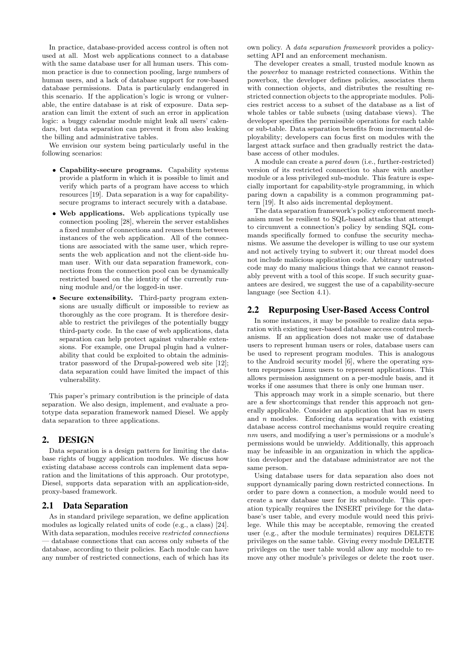In practice, database-provided access control is often not used at all. Most web applications connect to a database with the same database user for all human users. This common practice is due to connection pooling, large numbers of human users, and a lack of database support for row-based database permissions. Data is particularly endangered in this scenario. If the application's logic is wrong or vulnerable, the entire database is at risk of exposure. Data separation can limit the extent of such an error in application logic: a buggy calendar module might leak all users' calendars, but data separation can prevent it from also leaking the billing and administrative tables.

We envision our system being particularly useful in the following scenarios:

- Capability-secure programs. Capability systems provide a platform in which it is possible to limit and verify which parts of a program have access to which resources [19]. Data separation is a way for capabilitysecure programs to interact securely with a database.
- Web applications. Web applications typically use connection pooling [28], wherein the server establishes a fixed number of connections and reuses them between instances of the web application. All of the connections are associated with the same user, which represents the web application and not the client-side human user. With our data separation framework, connections from the connection pool can be dynamically restricted based on the identity of the currently running module and/or the logged-in user.
- Secure extensibility. Third-party program extensions are usually difficult or impossible to review as thoroughly as the core program. It is therefore desirable to restrict the privileges of the potentially buggy third-party code. In the case of web applications, data separation can help protect against vulnerable extensions. For example, one Drupal plugin had a vulnerability that could be exploited to obtain the administrator password of the Drupal-powered web site [12]; data separation could have limited the impact of this vulnerability.

This paper's primary contribution is the principle of data separation. We also design, implement, and evaluate a prototype data separation framework named Diesel. We apply data separation to three applications.

# 2. DESIGN

Data separation is a design pattern for limiting the database rights of buggy application modules. We discuss how existing database access controls can implement data separation and the limitations of this approach. Our prototype, Diesel, supports data separation with an application-side, proxy-based framework.

# 2.1 Data Separation

As in standard privilege separation, we define application modules as logically related units of code (e.g., a class) [24]. With data separation, modules receive restricted connections — database connections that can access only subsets of the database, according to their policies. Each module can have any number of restricted connections, each of which has its

own policy. A data separation framework provides a policysetting API and an enforcement mechanism.

The developer creates a small, trusted module known as the powerbox to manage restricted connections. Within the powerbox, the developer defines policies, associates them with connection objects, and distributes the resulting restricted connection objects to the appropriate modules. Policies restrict access to a subset of the database as a list of whole tables or table subsets (using database views). The developer specifies the permissible operations for each table or sub-table. Data separation benefits from incremental deployability; developers can focus first on modules with the largest attack surface and then gradually restrict the database access of other modules.

A module can create a pared down (i.e., further-restricted) version of its restricted connection to share with another module or a less privileged sub-module. This feature is especially important for capability-style programming, in which paring down a capability is a common programming pattern [19]. It also aids incremental deployment.

The data separation framework's policy enforcement mechanism must be resilient to SQL-based attacks that attempt to circumvent a connection's policy by sending SQL commands specifically formed to confuse the security mechanisms. We assume the developer is willing to use our system and not actively trying to subvert it; our threat model does not include malicious application code. Arbitrary untrusted code may do many malicious things that we cannot reasonably prevent with a tool of this scope. If such security guarantees are desired, we suggest the use of a capability-secure language (see Section 4.1).

# 2.2 Repurposing User-Based Access Control

In some instances, it may be possible to realize data separation with existing user-based database access control mechanisms. If an application does not make use of database users to represent human users or roles, database users can be used to represent program modules. This is analogous to the Android security model [6], where the operating system repurposes Linux users to represent applications. This allows permission assignment on a per-module basis, and it works if one assumes that there is only one human user.

This approach may work in a simple scenario, but there are a few shortcomings that render this approach not generally applicable. Consider an application that has  $m$  users and  $n$  modules. Enforcing data separation with existing database access control mechanisms would require creating nm users, and modifying a user's permissions or a module's permissions would be unwieldy. Additionally, this approach may be infeasible in an organization in which the application developer and the database administrator are not the same person.

Using database users for data separation also does not support dynamically paring down restricted connections. In order to pare down a connection, a module would need to create a new database user for its submodule. This operation typically requires the INSERT privilege for the database's user table, and every module would need this privilege. While this may be acceptable, removing the created user (e.g., after the module terminates) requires DELETE privileges on the same table. Giving every module DELETE privileges on the user table would allow any module to remove any other module's privileges or delete the root user.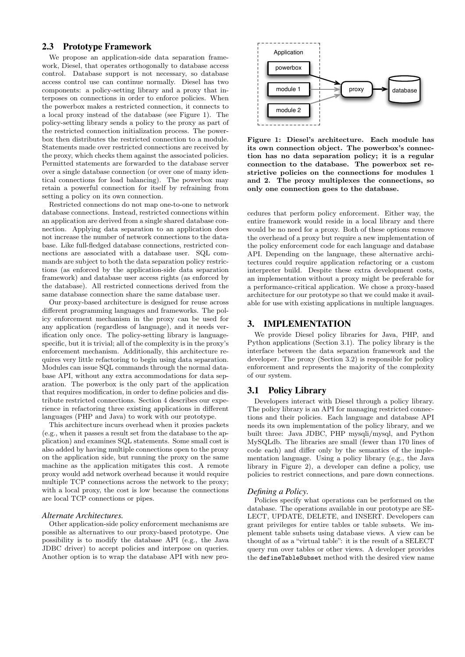### 2.3 Prototype Framework

We propose an application-side data separation framework, Diesel, that operates orthogonally to database access control. Database support is not necessary, so database access control use can continue normally. Diesel has two components: a policy-setting library and a proxy that interposes on connections in order to enforce policies. When the powerbox makes a restricted connection, it connects to a local proxy instead of the database (see Figure 1). The policy-setting library sends a policy to the proxy as part of the restricted connection initialization process. The powerbox then distributes the restricted connection to a module. Statements made over restricted connections are received by the proxy, which checks them against the associated policies. Permitted statements are forwarded to the database server over a single database connection (or over one of many identical connections for load balancing). The powerbox may retain a powerful connection for itself by refraining from setting a policy on its own connection.

Restricted connections do not map one-to-one to network database connections. Instead, restricted connections within an application are derived from a single shared database connection. Applying data separation to an application does not increase the number of network connections to the database. Like full-fledged database connections, restricted connections are associated with a database user. SQL commands are subject to both the data separation policy restrictions (as enforced by the application-side data separation framework) and database user access rights (as enforced by the database). All restricted connections derived from the same database connection share the same database user.

Our proxy-based architecture is designed for reuse across different programming languages and frameworks. The policy enforcement mechanism in the proxy can be used for any application (regardless of language), and it needs verification only once. The policy-setting library is languagespecific, but it is trivial; all of the complexity is in the proxy's enforcement mechanism. Additionally, this architecture requires very little refactoring to begin using data separation. Modules can issue SQL commands through the normal database API, without any extra accommodations for data separation. The powerbox is the only part of the application that requires modification, in order to define policies and distribute restricted connections. Section 4 describes our experience in refactoring three existing applications in different languages (PHP and Java) to work with our prototype.

This architecture incurs overhead when it proxies packets (e.g., when it passes a result set from the database to the application) and examines SQL statements. Some small cost is also added by having multiple connections open to the proxy on the application side, but running the proxy on the same machine as the application mitigates this cost. A remote proxy would add network overhead because it would require multiple TCP connections across the network to the proxy; with a local proxy, the cost is low because the connections are local TCP connections or pipes.

#### *Alternate Architectures.*

Other application-side policy enforcement mechanisms are possible as alternatives to our proxy-based prototype. One possibility is to modify the database API (e.g., the Java JDBC driver) to accept policies and interpose on queries. Another option is to wrap the database API with new pro-



Figure 1: Diesel's architecture. Each module has its own connection object. The powerbox's connection has no data separation policy; it is a regular connection to the database. The powerbox set restrictive policies on the connections for modules 1 and 2. The proxy multiplexes the connections, so only one connection goes to the database.

cedures that perform policy enforcement. Either way, the entire framework would reside in a local library and there would be no need for a proxy. Both of these options remove the overhead of a proxy but require a new implementation of the policy enforcement code for each language and database API. Depending on the language, these alternative architectures could require application refactoring or a custom interpreter build. Despite these extra development costs, an implementation without a proxy might be preferable for a performance-critical application. We chose a proxy-based architecture for our prototype so that we could make it available for use with existing applications in multiple languages.

#### 3. IMPLEMENTATION

We provide Diesel policy libraries for Java, PHP, and Python applications (Section 3.1). The policy library is the interface between the data separation framework and the developer. The proxy (Section 3.2) is responsible for policy enforcement and represents the majority of the complexity of our system.

#### 3.1 Policy Library

Developers interact with Diesel through a policy library. The policy library is an API for managing restricted connections and their policies. Each language and database API needs its own implementation of the policy library, and we built three: Java JDBC, PHP mysqli/mysql, and Python MySQLdb. The libraries are small (fewer than 170 lines of code each) and differ only by the semantics of the implementation language. Using a policy library (e.g., the Java library in Figure 2), a developer can define a policy, use policies to restrict connections, and pare down connections.

#### *Defining a Policy.*

Policies specify what operations can be performed on the database. The operations available in our prototype are SE-LECT, UPDATE, DELETE, and INSERT. Developers can grant privileges for entire tables or table subsets. We implement table subsets using database views. A view can be thought of as a "virtual table": it is the result of a SELECT query run over tables or other views. A developer provides the defineTableSubset method with the desired view name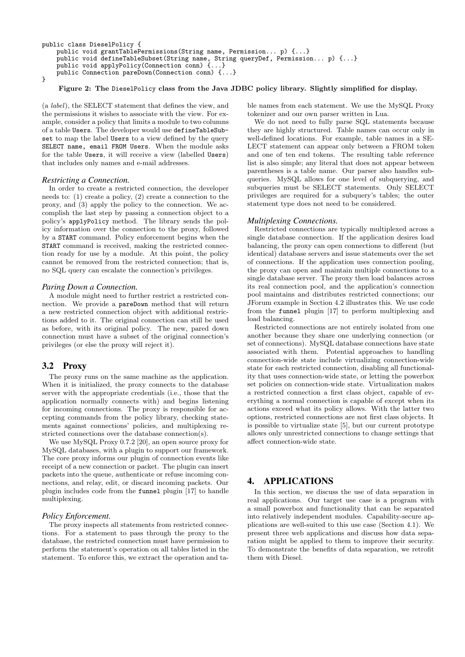```
public class DieselPolicy {
    public void grantTablePermissions(String name, Permission... p) {...}
   public void defineTableSubset(String name, String queryDef, Permission... p) {...}
   public void applyPolicy(Connection conn) {...}
   public Connection pareDown(Connection conn) {...}
}
```
#### Figure 2: The DieselPolicy class from the Java JDBC policy library. Slightly simplified for display.

(a label), the SELECT statement that defines the view, and the permissions it wishes to associate with the view. For example, consider a policy that limits a module to two columns of a table Users. The developer would use defineTableSubset to map the label Users to a view defined by the query SELECT name, email FROM Users. When the module asks for the table Users, it will receive a view (labelled Users) that includes only names and e-mail addresses.

#### *Restricting a Connection.*

In order to create a restricted connection, the developer needs to: (1) create a policy, (2) create a connection to the proxy, and (3) apply the policy to the connection. We accomplish the last step by passing a connection object to a policy's applyPolicy method. The library sends the policy information over the connection to the proxy, followed by a START command. Policy enforcement begins when the START command is received, making the restricted connection ready for use by a module. At this point, the policy cannot be removed from the restricted connection; that is, no SQL query can escalate the connection's privileges.

#### *Paring Down a Connection.*

A module might need to further restrict a restricted connection. We provide a pareDown method that will return a new restricted connection object with additional restrictions added to it. The original connection can still be used as before, with its original policy. The new, pared down connection must have a subset of the original connection's privileges (or else the proxy will reject it).

# 3.2 Proxy

The proxy runs on the same machine as the application. When it is initialized, the proxy connects to the database server with the appropriate credentials (i.e., those that the application normally connects with) and begins listening for incoming connections. The proxy is responsible for accepting commands from the policy library, checking statements against connections' policies, and multiplexing restricted connections over the database connection(s).

We use MySQL Proxy 0.7.2 [20], an open source proxy for MySQL databases, with a plugin to support our framework. The core proxy informs our plugin of connection events like receipt of a new connection or packet. The plugin can insert packets into the queue, authenticate or refuse incoming connections, and relay, edit, or discard incoming packets. Our plugin includes code from the funnel plugin [17] to handle multiplexing.

#### *Policy Enforcement.*

The proxy inspects all statements from restricted connections. For a statement to pass through the proxy to the database, the restricted connection must have permission to perform the statement's operation on all tables listed in the statement. To enforce this, we extract the operation and table names from each statement. We use the MySQL Proxy tokenizer and our own parser written in Lua.

We do not need to fully parse SQL statements because they are highly structured. Table names can occur only in well-defined locations. For example, table names in a SE-LECT statement can appear only between a FROM token and one of ten end tokens. The resulting table reference list is also simple; any literal that does not appear between parentheses is a table name. Our parser also handles subqueries. MySQL allows for one level of subquerying, and subqueries must be SELECT statements. Only SELECT privileges are required for a subquery's tables; the outer statement type does not need to be considered.

#### *Multiplexing Connections.*

Restricted connections are typically multiplexed across a single database connection. If the application desires load balancing, the proxy can open connections to different (but identical) database servers and issue statements over the set of connections. If the application uses connection pooling, the proxy can open and maintain multiple connections to a single database server. The proxy then load balances across its real connection pool, and the application's connection pool maintains and distributes restricted connections; our JForum example in Section 4.2 illustrates this. We use code from the funnel plugin [17] to perform multiplexing and load balancing.

Restricted connections are not entirely isolated from one another because they share one underlying connection (or set of connections). MySQL database connections have state associated with them. Potential approaches to handling connection-wide state include virtualizing connection-wide state for each restricted connection, disabling all functionality that uses connection-wide state, or letting the powerbox set policies on connection-wide state. Virtualization makes a restricted connection a first class object, capable of everything a normal connection is capable of except when its actions exceed what its policy allows. With the latter two options, restricted connections are not first class objects. It is possible to virtualize state [5], but our current prototype allows only unrestricted connections to change settings that affect connection-wide state.

# 4. APPLICATIONS

In this section, we discuss the use of data separation in real applications. Our target use case is a program with a small powerbox and functionality that can be separated into relatively independent modules. Capability-secure applications are well-suited to this use case (Section 4.1). We present three web applications and discuss how data separation might be applied to them to improve their security. To demonstrate the benefits of data separation, we retrofit them with Diesel.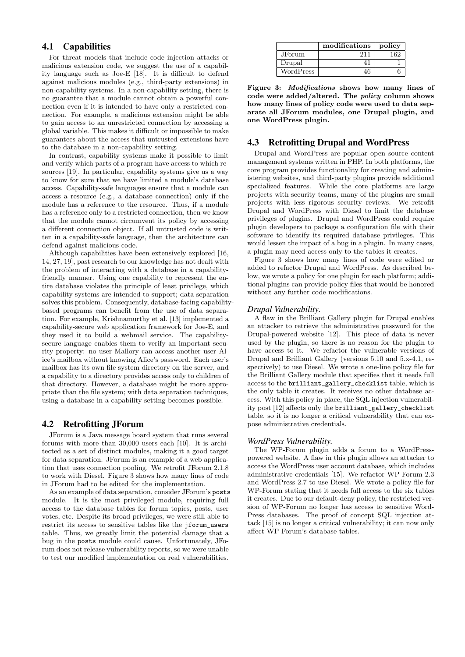# 4.1 Capabilities

For threat models that include code injection attacks or malicious extension code, we suggest the use of a capability language such as Joe-E [18]. It is difficult to defend against malicious modules (e.g., third-party extensions) in non-capability systems. In a non-capability setting, there is no guarantee that a module cannot obtain a powerful connection even if it is intended to have only a restricted connection. For example, a malicious extension might be able to gain access to an unrestricted connection by accessing a global variable. This makes it difficult or impossible to make guarantees about the access that untrusted extensions have to the database in a non-capability setting.

In contrast, capability systems make it possible to limit and verify which parts of a program have access to which resources [19]. In particular, capability systems give us a way to know for sure that we have limited a module's database access. Capability-safe languages ensure that a module can access a resource (e.g., a database connection) only if the module has a reference to the resource. Thus, if a module has a reference only to a restricted connection, then we know that the module cannot circumvent its policy by accessing a different connection object. If all untrusted code is written in a capability-safe language, then the architecture can defend against malicious code.

Although capabilities have been extensively explored [16, 14, 27, 19], past research to our knowledge has not dealt with the problem of interacting with a database in a capabilityfriendly manner. Using one capability to represent the entire database violates the principle of least privilege, which capability systems are intended to support; data separation solves this problem. Consequently, database-facing capabilitybased programs can benefit from the use of data separation. For example, Krishnamurthy et al. [13] implemented a capability-secure web application framework for Joe-E, and they used it to build a webmail service. The capabilitysecure language enables them to verify an important security property: no user Mallory can access another user Alice's mailbox without knowing Alice's password. Each user's mailbox has its own file system directory on the server, and a capability to a directory provides access only to children of that directory. However, a database might be more appropriate than the file system; with data separation techniques, using a database in a capability setting becomes possible.

# 4.2 Retrofitting JForum

JForum is a Java message board system that runs several forums with more than 30,000 users each [10]. It is architected as a set of distinct modules, making it a good target for data separation. JForum is an example of a web application that uses connection pooling. We retrofit JForum 2.1.8 to work with Diesel. Figure 3 shows how many lines of code in JForum had to be edited for the implementation.

As an example of data separation, consider JForum's posts module. It is the most privileged module, requiring full access to the database tables for forum topics, posts, user votes, etc. Despite its broad privileges, we were still able to restrict its access to sensitive tables like the jforum\_users table. Thus, we greatly limit the potential damage that a bug in the posts module could cause. Unfortunately, JForum does not release vulnerability reports, so we were unable to test our modified implementation on real vulnerabilities.

|           | modifications | policy |
|-----------|---------------|--------|
| JForum    | 211           | 162    |
| Drupal    | 4             |        |
| WordPress | 46            |        |

Figure 3: Modifications shows how many lines of code were added/altered. The policy column shows how many lines of policy code were used to data separate all JForum modules, one Drupal plugin, and one WordPress plugin.

# 4.3 Retrofitting Drupal and WordPress

Drupal and WordPress are popular open source content management systems written in PHP. In both platforms, the core program provides functionality for creating and administering websites, and third-party plugins provide additional specialized features. While the core platforms are large projects with security teams, many of the plugins are small projects with less rigorous security reviews. We retrofit Drupal and WordPress with Diesel to limit the database privileges of plugins. Drupal and WordPress could require plugin developers to package a configuration file with their software to identify its required database privileges. This would lessen the impact of a bug in a plugin. In many cases, a plugin may need access only to the tables it creates.

Figure 3 shows how many lines of code were edited or added to refactor Drupal and WordPress. As described below, we wrote a policy for one plugin for each platform; additional plugins can provide policy files that would be honored without any further code modifications.

#### *Drupal Vulnerability.*

A flaw in the Brilliant Gallery plugin for Drupal enables an attacker to retrieve the administrative password for the Drupal-powered website [12]. This piece of data is never used by the plugin, so there is no reason for the plugin to have access to it. We refactor the vulnerable versions of Drupal and Brilliant Gallery (versions 5.10 and 5.x-4.1, respectively) to use Diesel. We wrote a one-line policy file for the Brilliant Gallery module that specifies that it needs full access to the brilliant\_gallery\_checklist table, which is the only table it creates. It receives no other database access. With this policy in place, the SQL injection vulnerability post [12] affects only the brilliant\_gallery\_checklist table, so it is no longer a critical vulnerability that can expose administrative credentials.

#### *WordPress Vulnerability.*

The WP-Forum plugin adds a forum to a WordPresspowered website. A flaw in this plugin allows an attacker to access the WordPress user account database, which includes administrative credentials [15]. We refactor WP-Forum 2.3 and WordPress 2.7 to use Diesel. We wrote a policy file for WP-Forum stating that it needs full access to the six tables it creates. Due to our default-deny policy, the restricted version of WP-Forum no longer has access to sensitive Word-Press databases. The proof of concept SQL injection attack [15] is no longer a critical vulnerability; it can now only affect WP-Forum's database tables.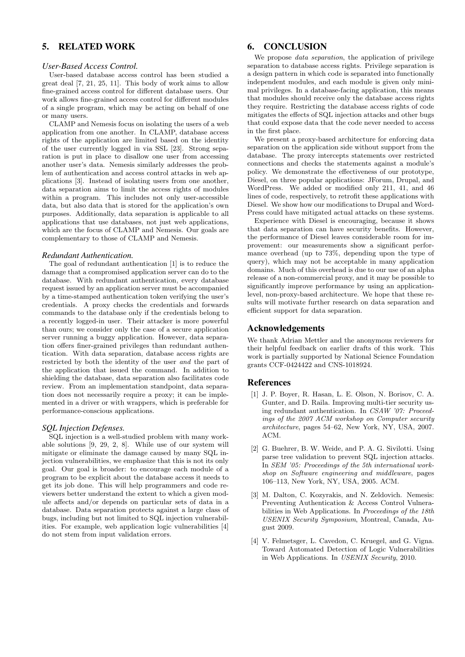# 5. RELATED WORK

#### *User-Based Access Control.*

User-based database access control has been studied a great deal [7, 21, 25, 11]. This body of work aims to allow fine-grained access control for different database users. Our work allows fine-grained access control for different modules of a single program, which may be acting on behalf of one or many users.

CLAMP and Nemesis focus on isolating the users of a web application from one another. In CLAMP, database access rights of the application are limited based on the identity of the user currently logged in via SSL [23]. Strong separation is put in place to disallow one user from accessing another user's data. Nemesis similarly addresses the problem of authentication and access control attacks in web applications [3]. Instead of isolating users from one another, data separation aims to limit the access rights of modules within a program. This includes not only user-accessible data, but also data that is stored for the application's own purposes. Additionally, data separation is applicable to all applications that use databases, not just web applications, which are the focus of CLAMP and Nemesis. Our goals are complementary to those of CLAMP and Nemesis.

#### *Redundant Authentication.*

The goal of redundant authentication [1] is to reduce the damage that a compromised application server can do to the database. With redundant authentication, every database request issued by an application server must be accompanied by a time-stamped authentication token verifying the user's credentials. A proxy checks the credentials and forwards commands to the database only if the credentials belong to a recently logged-in user. Their attacker is more powerful than ours; we consider only the case of a secure application server running a buggy application. However, data separation offers finer-grained privileges than redundant authentication. With data separation, database access rights are restricted by both the identity of the user and the part of the application that issued the command. In addition to shielding the database, data separation also facilitates code review. From an implementation standpoint, data separation does not necessarily require a proxy; it can be implemented in a driver or with wrappers, which is preferable for performance-conscious applications.

#### *SQL Injection Defenses.*

SQL injection is a well-studied problem with many workable solutions [9, 29, 2, 8]. While use of our system will mitigate or eliminate the damage caused by many SQL injection vulnerabilities, we emphasize that this is not its only goal. Our goal is broader: to encourage each module of a program to be explicit about the database access it needs to get its job done. This will help programmers and code reviewers better understand the extent to which a given module affects and/or depends on particular sets of data in a database. Data separation protects against a large class of bugs, including but not limited to SQL injection vulnerabilities. For example, web application logic vulnerabilities [4] do not stem from input validation errors.

# 6. CONCLUSION

We propose *data separation*, the application of privilege separation to database access rights. Privilege separation is a design pattern in which code is separated into functionally independent modules, and each module is given only minimal privileges. In a database-facing application, this means that modules should receive only the database access rights they require. Restricting the database access rights of code mitigates the effects of SQL injection attacks and other bugs that could expose data that the code never needed to access in the first place.

We present a proxy-based architecture for enforcing data separation on the application side without support from the database. The proxy intercepts statements over restricted connections and checks the statements against a module's policy. We demonstrate the effectiveness of our prototype, Diesel, on three popular applications: JForum, Drupal, and WordPress. We added or modified only 211, 41, and 46 lines of code, respectively, to retrofit these applications with Diesel. We show how our modifications to Drupal and Word-Press could have mitigated actual attacks on these systems.

Experience with Diesel is encouraging, because it shows that data separation can have security benefits. However, the performance of Diesel leaves considerable room for improvement: our measurements show a significant performance overhead (up to 73%, depending upon the type of query), which may not be acceptable in many application domains. Much of this overhead is due to our use of an alpha release of a non-commercial proxy, and it may be possible to significantly improve performance by using an applicationlevel, non-proxy-based architecture. We hope that these results will motivate further research on data separation and efficient support for data separation.

### Acknowledgements

We thank Adrian Mettler and the anonymous reviewers for their helpful feedback on earlier drafts of this work. This work is partially supported by National Science Foundation grants CCF-0424422 and CNS-1018924.

#### References

- [1] J. P. Boyer, R. Hasan, L. E. Olson, N. Borisov, C. A. Gunter, and D. Raila. Improving multi-tier security using redundant authentication. In CSAW '07: Proceedings of the 2007 ACM workshop on Computer security architecture, pages 54–62, New York, NY, USA, 2007. ACM.
- [2] G. Buehrer, B. W. Weide, and P. A. G. Sivilotti. Using parse tree validation to prevent SQL injection attacks. In SEM '05: Proceedings of the 5th international workshop on Software engineering and middleware, pages 106–113, New York, NY, USA, 2005. ACM.
- [3] M. Dalton, C. Kozyrakis, and N. Zeldovich. Nemesis: Preventing Authentication & Access Control Vulnerabilities in Web Applications. In Proceedings of the 18th USENIX Security Symposium, Montreal, Canada, August 2009.
- [4] V. Felmetsger, L. Cavedon, C. Kruegel, and G. Vigna. Toward Automated Detection of Logic Vulnerabilities in Web Applications. In USENIX Security, 2010.